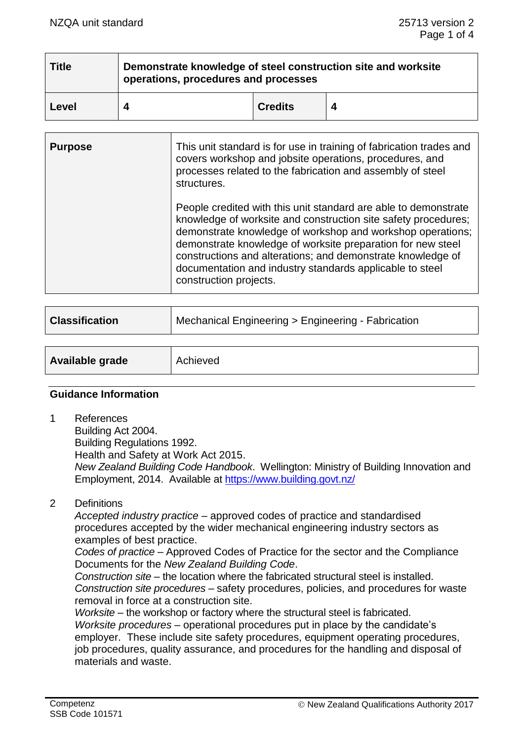| Title | Demonstrate knowledge of steel construction site and worksite<br>operations, procedures and processes |                |  |  |
|-------|-------------------------------------------------------------------------------------------------------|----------------|--|--|
| Level |                                                                                                       | <b>Credits</b> |  |  |

| <b>Purpose</b> | This unit standard is for use in training of fabrication trades and<br>covers workshop and jobsite operations, procedures, and<br>processes related to the fabrication and assembly of steel<br>structures.                                                                                                                                                                                                         |
|----------------|---------------------------------------------------------------------------------------------------------------------------------------------------------------------------------------------------------------------------------------------------------------------------------------------------------------------------------------------------------------------------------------------------------------------|
|                | People credited with this unit standard are able to demonstrate<br>knowledge of worksite and construction site safety procedures;<br>demonstrate knowledge of workshop and workshop operations;<br>demonstrate knowledge of worksite preparation for new steel<br>constructions and alterations; and demonstrate knowledge of<br>documentation and industry standards applicable to steel<br>construction projects. |

| <b>Classification</b> | Mechanical Engineering > Engineering - Fabrication |  |
|-----------------------|----------------------------------------------------|--|
|                       |                                                    |  |
| Available grade       | Achieved                                           |  |
|                       |                                                    |  |

#### **Guidance Information**

1 References

Building Act 2004.

Building Regulations 1992.

Health and Safety at Work Act 2015.

*New Zealand Building Code Handbook*. Wellington: Ministry of Building Innovation and Employment, 2014. Available at<https://www.building.govt.nz/>

2 Definitions

*Accepted industry practice –* approved codes of practice and standardised procedures accepted by the wider mechanical engineering industry sectors as examples of best practice.

*Codes of practice* – Approved Codes of Practice for the sector and the Compliance Documents for the *New Zealand Building Code*.

*Construction site* – the location where the fabricated structural steel is installed. *Construction site procedures –* safety procedures, policies, and procedures for waste removal in force at a construction site.

*Worksite* – the workshop or factory where the structural steel is fabricated. *Worksite procedures* – operational procedures put in place by the candidate's employer. These include site safety procedures, equipment operating procedures, job procedures, quality assurance, and procedures for the handling and disposal of materials and waste.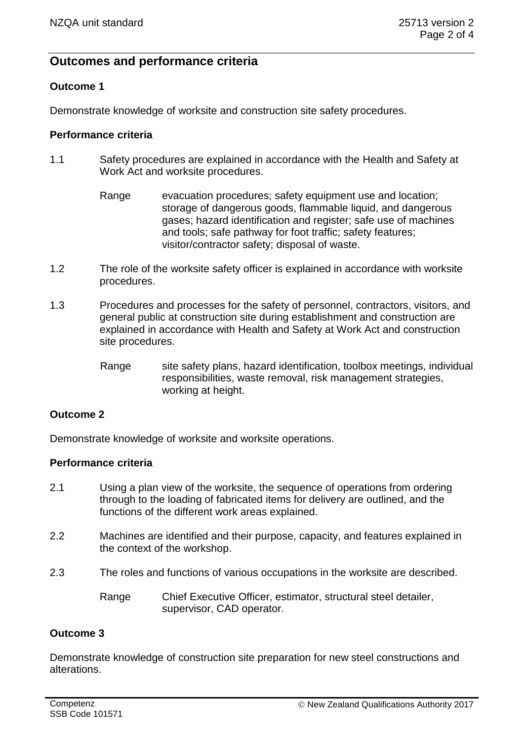# **Outcomes and performance criteria**

## **Outcome 1**

Demonstrate knowledge of worksite and construction site safety procedures.

## **Performance criteria**

- 1.1 Safety procedures are explained in accordance with the Health and Safety at Work Act and worksite procedures.
	- Range evacuation procedures; safety equipment use and location; storage of dangerous goods, flammable liquid, and dangerous gases; hazard identification and register; safe use of machines and tools; safe pathway for foot traffic; safety features; visitor/contractor safety; disposal of waste.
- 1.2 The role of the worksite safety officer is explained in accordance with worksite procedures.
- 1.3 Procedures and processes for the safety of personnel, contractors, visitors, and general public at construction site during establishment and construction are explained in accordance with Health and Safety at Work Act and construction site procedures.
	- Range site safety plans, hazard identification, toolbox meetings, individual responsibilities, waste removal, risk management strategies, working at height.

## **Outcome 2**

Demonstrate knowledge of worksite and worksite operations.

### **Performance criteria**

- 2.1 Using a plan view of the worksite, the sequence of operations from ordering through to the loading of fabricated items for delivery are outlined, and the functions of the different work areas explained.
- 2.2 Machines are identified and their purpose, capacity, and features explained in the context of the workshop.
- 2.3 The roles and functions of various occupations in the worksite are described.
	- Range Chief Executive Officer, estimator, structural steel detailer, supervisor, CAD operator.

### **Outcome 3**

Demonstrate knowledge of construction site preparation for new steel constructions and alterations.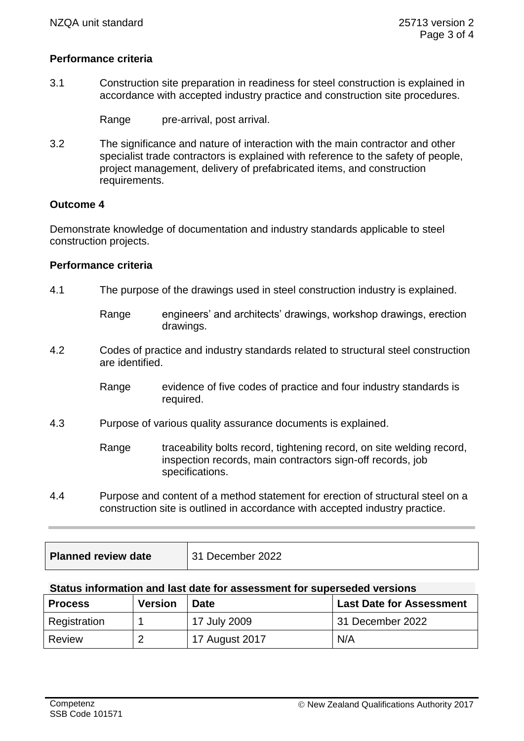## **Performance criteria**

3.1 Construction site preparation in readiness for steel construction is explained in accordance with accepted industry practice and construction site procedures.

Range pre-arrival, post arrival.

3.2 The significance and nature of interaction with the main contractor and other specialist trade contractors is explained with reference to the safety of people, project management, delivery of prefabricated items, and construction requirements.

#### **Outcome 4**

Demonstrate knowledge of documentation and industry standards applicable to steel construction projects.

#### **Performance criteria**

- 4.1 The purpose of the drawings used in steel construction industry is explained.
	- Range engineers' and architects' drawings, workshop drawings, erection drawings.
- 4.2 Codes of practice and industry standards related to structural steel construction are identified.
	- Range evidence of five codes of practice and four industry standards is required.
- 4.3 Purpose of various quality assurance documents is explained.
	- Range traceability bolts record, tightening record, on site welding record, inspection records, main contractors sign-off records, job specifications.
- 4.4 Purpose and content of a method statement for erection of structural steel on a construction site is outlined in accordance with accepted industry practice.

| <b>Planned review date</b> | 31 December 2022 |
|----------------------------|------------------|
|----------------------------|------------------|

#### **Status information and last date for assessment for superseded versions**

| <b>Process</b> | <b>Version</b> | <b>Date</b>    | <b>Last Date for Assessment</b> |
|----------------|----------------|----------------|---------------------------------|
| Registration   |                | 17 July 2009   | 31 December 2022                |
| Review         |                | 17 August 2017 | N/A                             |